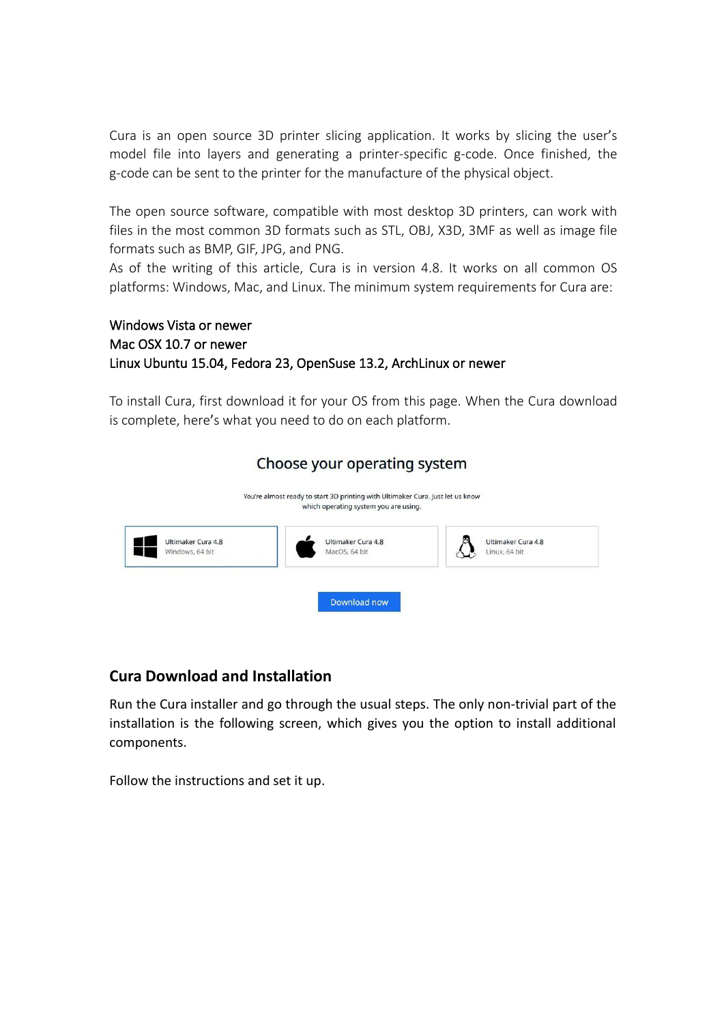Cura is an open source 3D printer slicing application. It works by slicing the user's model file into layers and generating a printer-specific g-code. Once finished, the g-code can be sent to the printer for the manufacture of the physical object.

The open source software, compatible with most desktop 3D printers, can work with files in the most common 3D formats such as STL, OBJ, X3D, 3MF as well as image file formats such as BMP, GIF, JPG, and PNG.

As of the writing of this article, Cura is in version 4.8. It works on all common OS platforms: Windows, Mac, and Linux. The minimum system requirements for Cura are:

## Windows Vista or newer Mac OSX 10.7 or newer Linux Ubuntu 15.04, Fedora 23, OpenSuse 13.2, ArchLinux or newer

To install Cura, first [download](https://ultimaker.com/en/products/ultimaker-cura-software) it for your OS from this page. When the Cura download is complete, here's what you need to do on each platform.

| You're almost ready to start 3D printing with Ultimaker Cura. Just let us know<br>which operating system you are using. |                                       |
|-------------------------------------------------------------------------------------------------------------------------|---------------------------------------|
| Ultimaker Cura 4.8<br>MacOS, 64 bit                                                                                     | Ultimaker Cura 4.8<br>Windows, 64 bit |
|                                                                                                                         |                                       |
| Ultimaker Cura 4.8<br>Linux, 64 bit                                                                                     |                                       |

## **Cura Download and Installation**

Run the Cura installer and go through the usual steps. The only non-trivial part of the installation is the following screen, which gives you the option to install additional components.

Follow the instructions and set it up.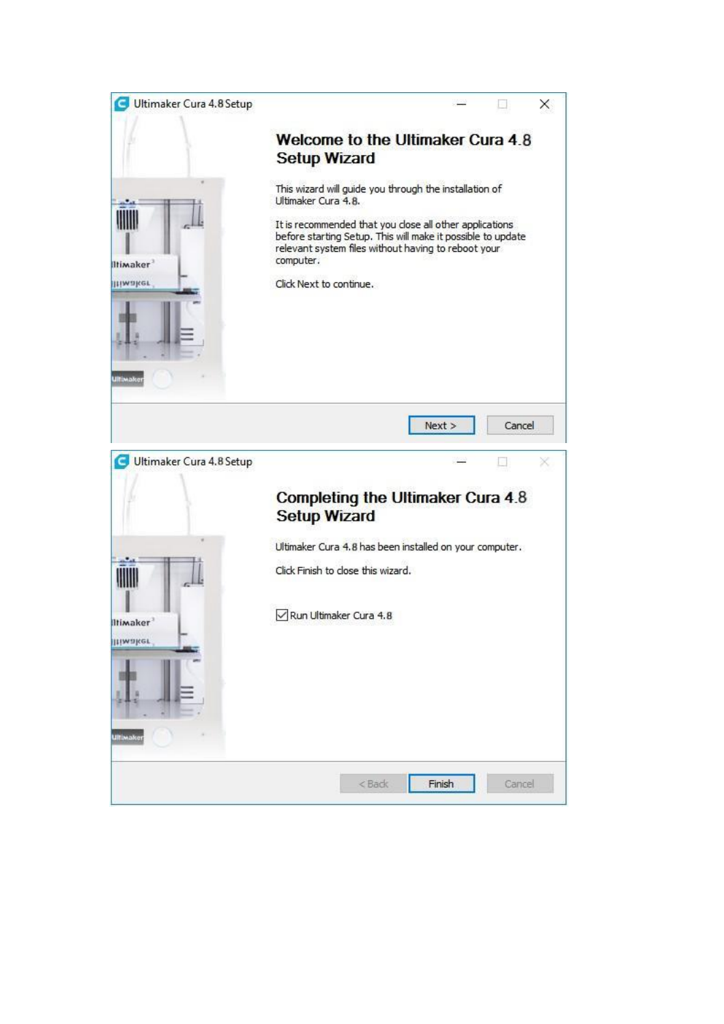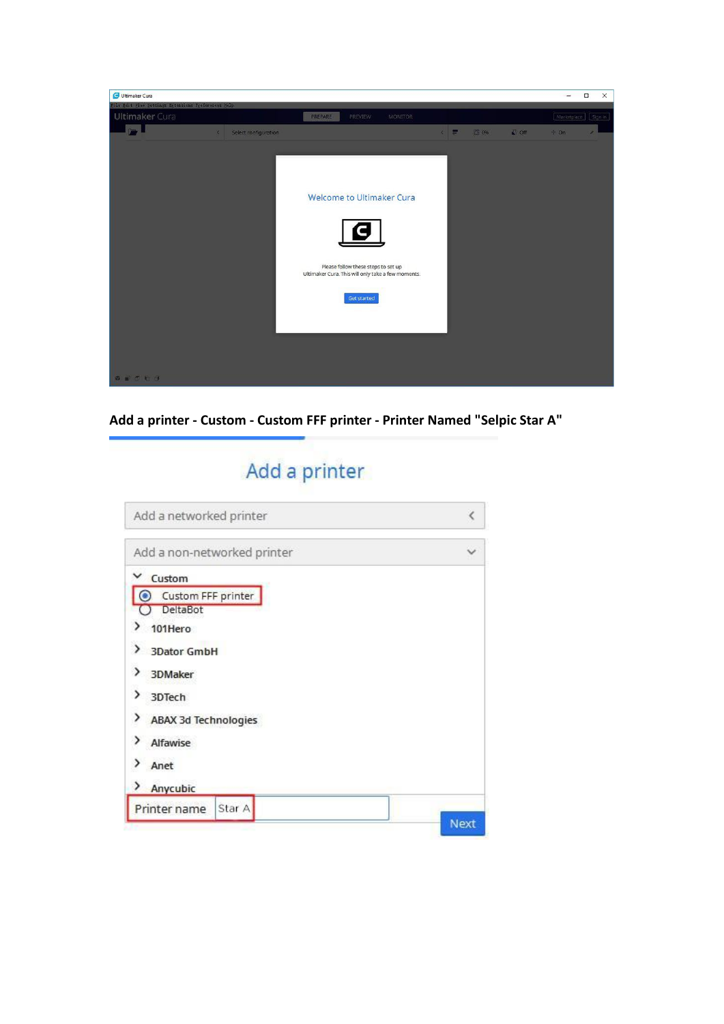

**Add a printer -Custom - Custom FFF printer - Printer Named "Selpic Star A"**

# Add a printer

| K           |
|-------------|
|             |
|             |
|             |
|             |
|             |
|             |
|             |
|             |
|             |
|             |
|             |
| <b>Next</b> |
|             |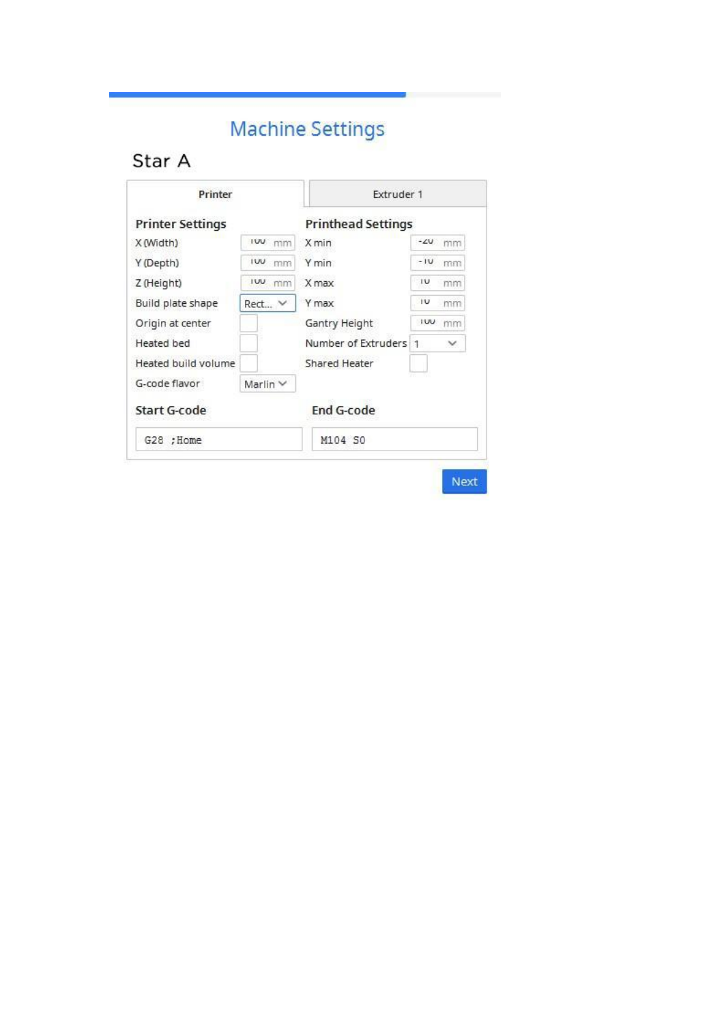# **Machine Settings**

# Star A

| <b>Printer Settings</b> |                  | <b>Printhead Settings</b> |                  |  |
|-------------------------|------------------|---------------------------|------------------|--|
| X (Width)               | ruu mm           | X min                     | $-20$ mm         |  |
| Y (Depth)               | IW.<br>mm        | Y min                     | $-1U$<br>mm      |  |
| Z (Height)              | lw <sub>mm</sub> | X max                     | 1U<br>mm         |  |
| Build plate shape       | Rect V           | Y max                     | 1U<br>mm         |  |
| Origin at center        |                  | Gantry Height             | <b>IUU</b><br>mm |  |
| Heated bed              |                  | Number of Extruders 1     | $\checkmark$     |  |
| Heated build volume     |                  | Shared Heater             |                  |  |
| G-code flavor           | Marlin $\vee$    |                           |                  |  |
| Start G-code            |                  | <b>End G-code</b>         |                  |  |
| G28 ; Home              |                  | M104 SO                   |                  |  |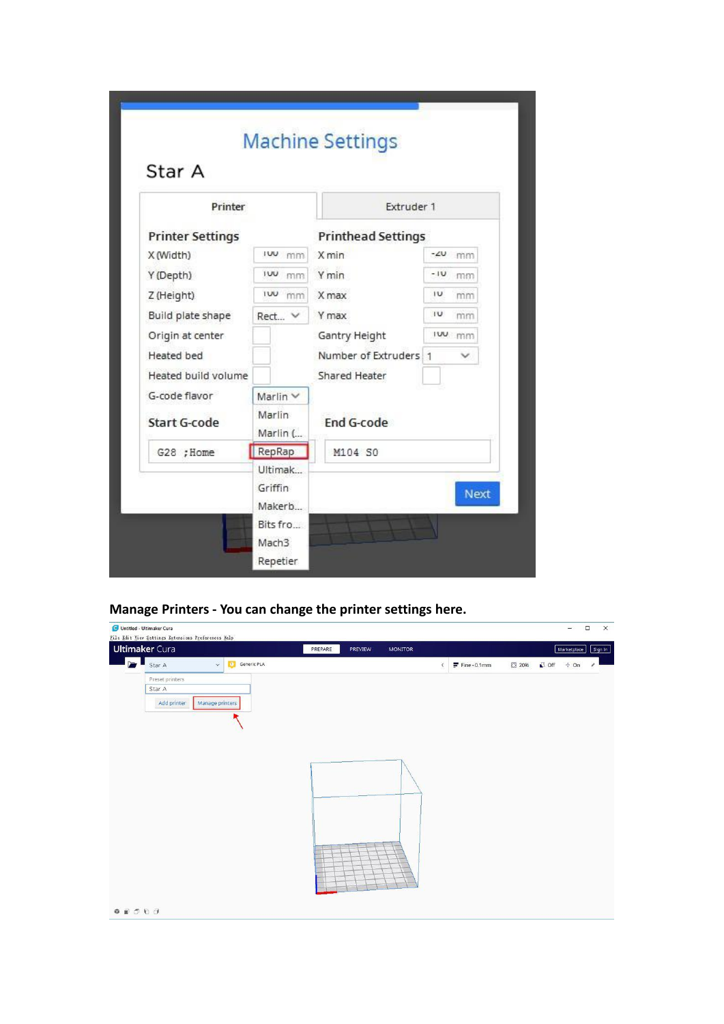| Printer                 |                    | Extruder 1                |          |      |
|-------------------------|--------------------|---------------------------|----------|------|
| <b>Printer Settings</b> |                    | <b>Printhead Settings</b> |          |      |
| X (Width)               | ruu mm             | X min                     | $-20$ mm |      |
| Y (Depth)               | ivu mm             | Y min                     | $-1U$    | mm   |
| Z (Height)              | <b>IW</b> mm       | X max                     | IU       | mm   |
| Build plate shape       | Rect V             | Y max                     | IU       | mm   |
| Origin at center        |                    | Gantry Height             | luu mm   |      |
| Heated bed              |                    | Number of Extruders 1     |          |      |
| Heated build volume     |                    | Shared Heater             |          |      |
| G-code flavor           | Marlin $\vee$      |                           |          |      |
| <b>Start G-code</b>     | Marlin<br>Marlin ( | End G-code                |          |      |
| G28 ; Home              | RepRap             | M104 SO                   |          |      |
|                         | Ultimak            |                           |          |      |
|                         | Griffin            |                           |          | Next |
|                         | Makerb             |                           |          |      |
|                         | Bits fro           |                           |          |      |
|                         | Mach <sub>3</sub>  |                           |          |      |
|                         | Repetier           |                           |          |      |

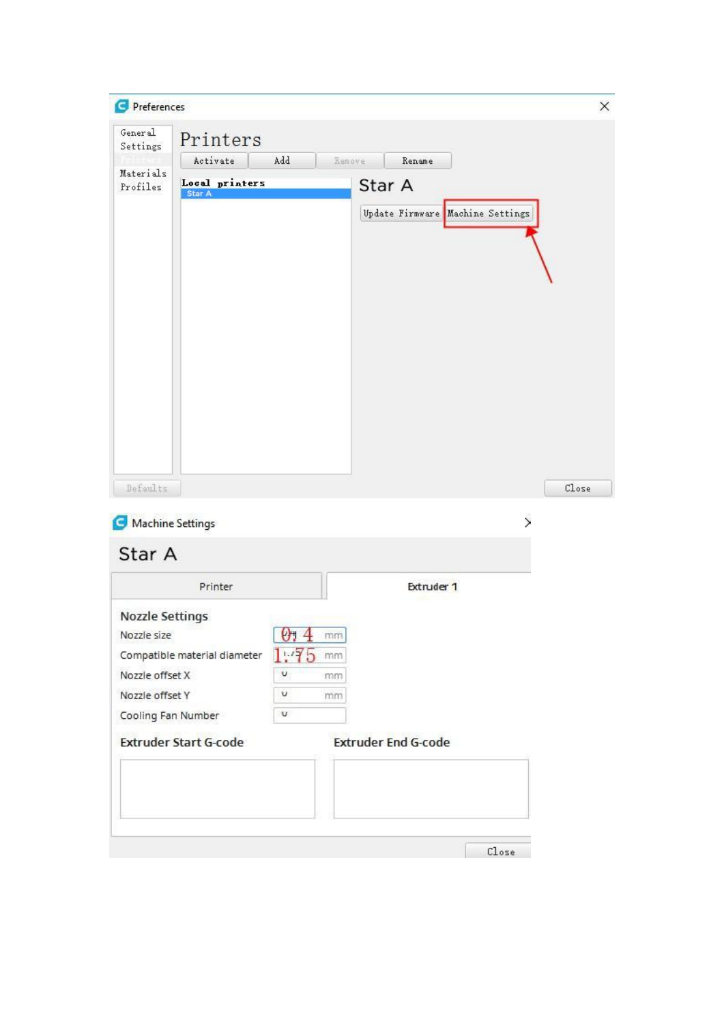| Preferences<br>с       |                              |                      |                            |                                  | ×                        |
|------------------------|------------------------------|----------------------|----------------------------|----------------------------------|--------------------------|
| General<br>Settings    | Printers                     |                      |                            |                                  |                          |
|                        | Activate                     | Add                  | Remove<br>Rename           |                                  |                          |
| Materials<br>Profiles  | Local printers<br>Star A     |                      | Star A                     |                                  |                          |
|                        |                              |                      |                            | Update Firmware Machine Settings |                          |
|                        |                              |                      |                            |                                  |                          |
|                        |                              |                      |                            |                                  |                          |
|                        |                              |                      |                            |                                  |                          |
|                        |                              |                      |                            |                                  |                          |
|                        |                              |                      |                            |                                  |                          |
|                        |                              |                      |                            |                                  |                          |
| Defaults               |                              |                      |                            |                                  | Close                    |
| Machine Settings       |                              |                      |                            |                                  | $\overline{\phantom{1}}$ |
| Star A                 |                              |                      |                            |                                  |                          |
|                        | Printer                      |                      | Extruder 1                 |                                  |                          |
| <b>Nozzle Settings</b> |                              |                      |                            |                                  |                          |
| Nozzle size            |                              | $\boxed{0}$ 1 $4$ mm |                            |                                  |                          |
| Nozzle offset X        | Compatible material diameter | 1.75<br>mm<br>U      |                            |                                  |                          |
| Nozzle offset Y        |                              | mm<br>U              |                            |                                  |                          |
| Cooling Fan Number     |                              | mm<br>U.             |                            |                                  |                          |
|                        | <b>Extruder Start G-code</b> |                      | <b>Extruder End G-code</b> |                                  |                          |
|                        |                              |                      |                            |                                  |                          |
|                        |                              |                      |                            |                                  |                          |
|                        |                              |                      |                            | Close                            |                          |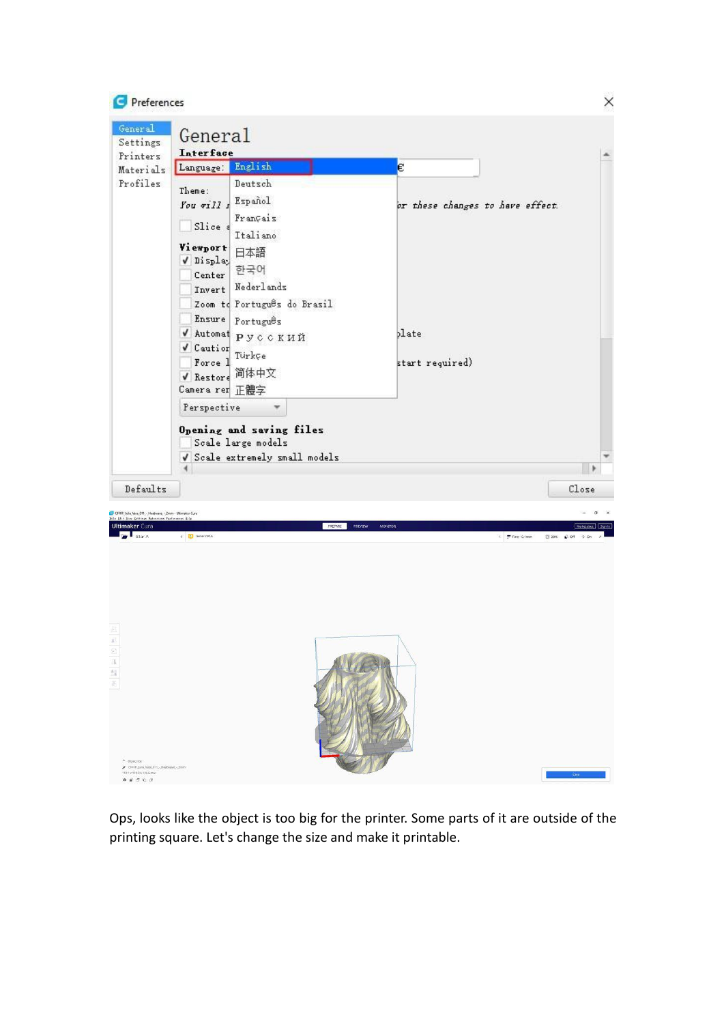

Ops, looks like the object is too big for the printer. Some parts of it are outside of the printing square. Let's change the size and make it printable.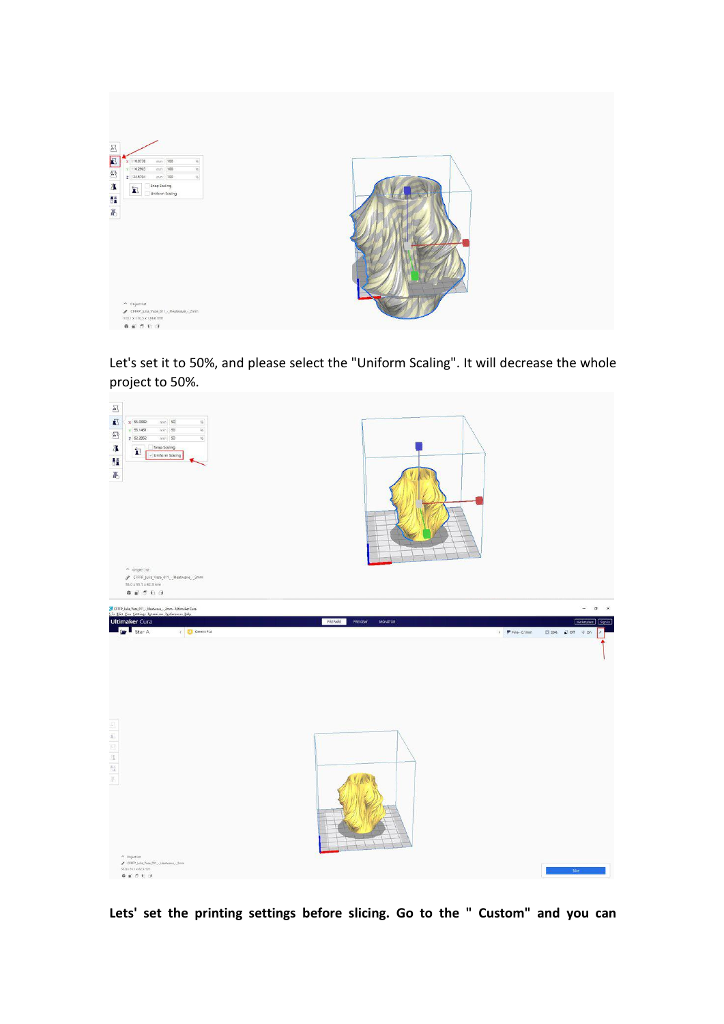

Let's set it to 50%, and please select the "Uniform Scaling". It will decrease the whole project to 50%.



**Lets' set the printing settings before slicing. Go to the " Custom" and you can**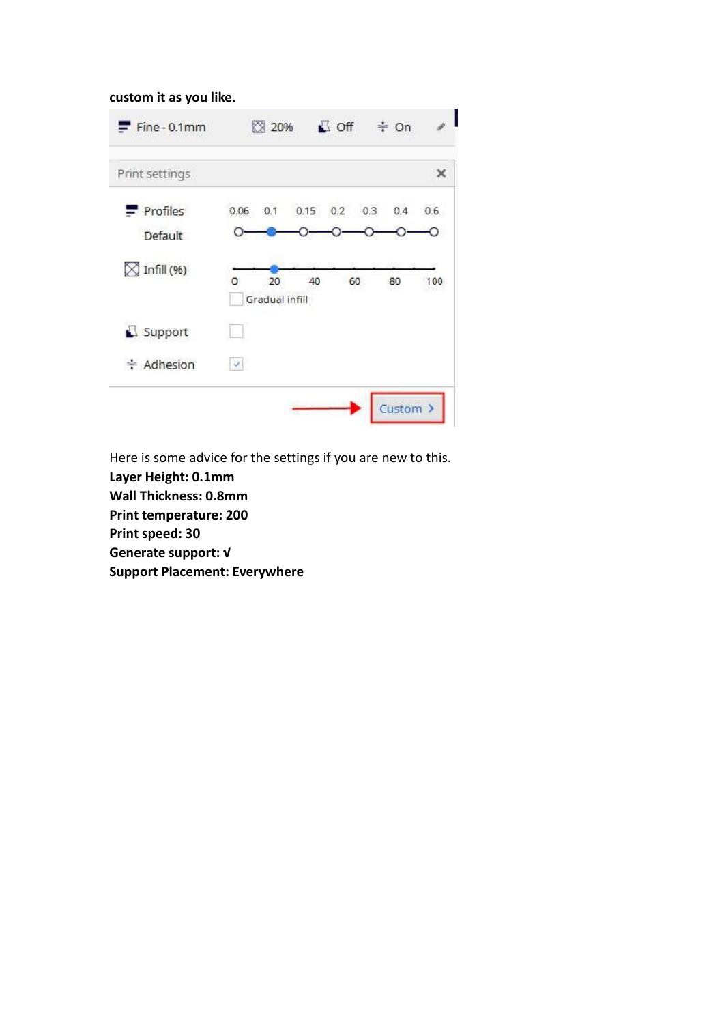#### **custom it as you like.**

| $F$ Fine - 0.1mm       |               | ☆ 20%                |      | $\Box$ off |     | $\div$ On |     |
|------------------------|---------------|----------------------|------|------------|-----|-----------|-----|
| Print settings         |               |                      |      |            |     |           | ×   |
| Profiles               | 0.06          | 0.1                  | 0.15 | 0.2        | 0.3 | 0.4       | 0.6 |
| Default                |               |                      |      |            |     |           |     |
| $\boxtimes$ Infill (%) | o             | 20<br>Gradual infill | 40   |            | 60  | 80        | 100 |
| Support                |               |                      |      |            |     |           |     |
| ≑ Adhesion             | $\mathcal{A}$ |                      |      |            |     |           |     |
|                        |               |                      |      |            |     | Custom >  |     |

Here is some advice for the settings if you are new to this.

**Layer Height: 0.1mm**

**Wall Thickness: 0.8mm**

**Print temperature: 200**

**Print speed: 30**

**Generate support: √**

**Support Placement: Everywhere**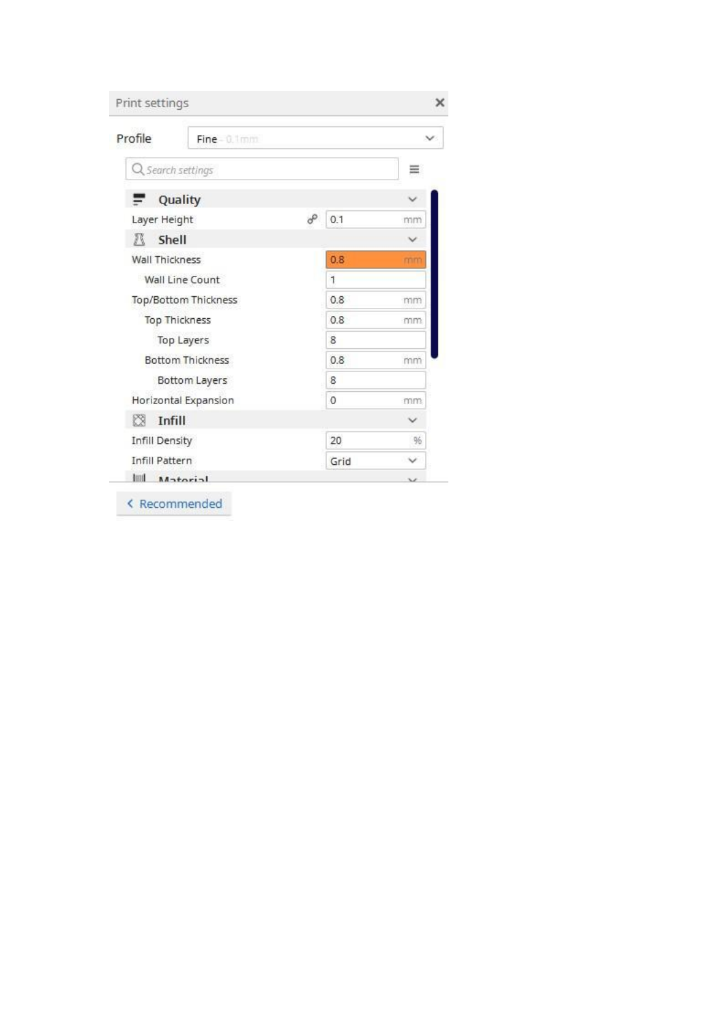| Print settings    |                         |   |              | ×                        |
|-------------------|-------------------------|---|--------------|--------------------------|
| Profile           | $Time-0.1$ mm           |   |              |                          |
| Q search settings |                         |   |              |                          |
| -                 | Quality                 |   |              |                          |
| Layer Height      |                         | o | 0.1          | mm                       |
| л<br>Shell        |                         |   |              |                          |
| Wall Thickness    |                         |   | 0.8          | mm                       |
|                   | Wall Line Count         |   | $\mathbf{1}$ |                          |
|                   | Top/Bottom Thickness    |   | 0.8          | mm                       |
|                   | Top Thickness           |   | 0.8          | mm                       |
|                   | Top Layers              |   | 8            |                          |
|                   | <b>Bottom Thickness</b> |   | 0.8          | mm                       |
|                   | Bottom Layers           |   | 8            |                          |
|                   | Horizontal Expansion    |   | $\theta$     | mm                       |
| Ø<br>Infill       |                         |   |              |                          |
| Infill Density    |                         |   | 20           | 96                       |
| Infill Pattern    |                         |   | Grid         | v                        |
| Imi               | Matorial                |   |              | $\overline{\phantom{a}}$ |

< Recommended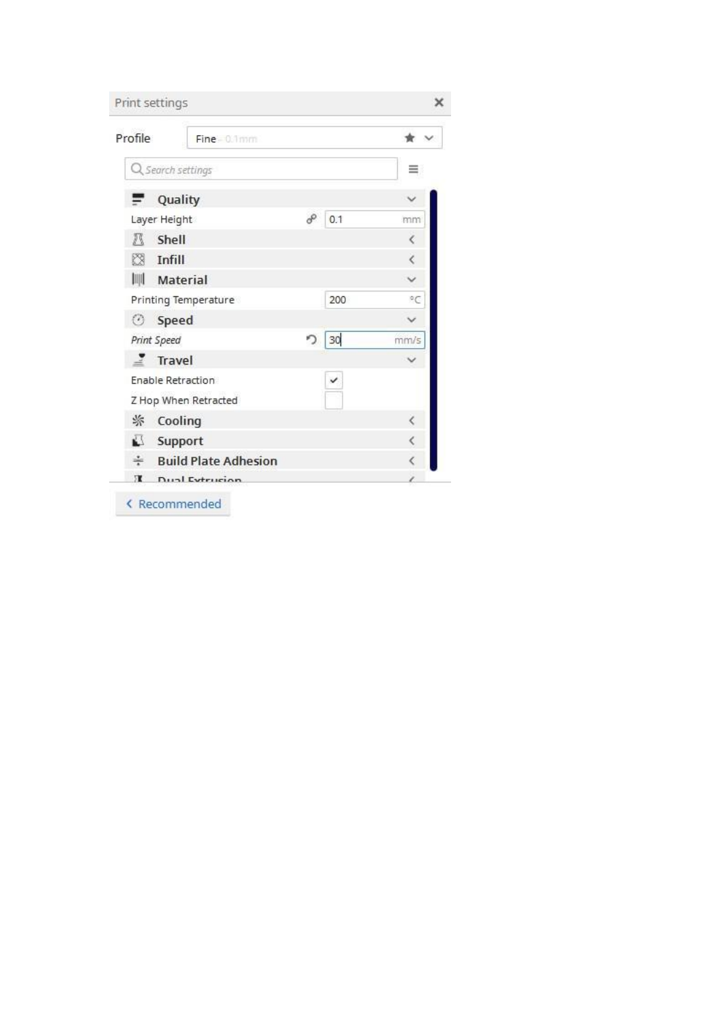|         |                      | Print settings              |   |     | x    |
|---------|----------------------|-----------------------------|---|-----|------|
| Profile |                      | Fine 0.1mm                  |   |     |      |
|         |                      | Q Search settings           |   |     |      |
|         | =                    | Quality                     |   |     |      |
|         | Layer Height         |                             |   | 0.1 | mm   |
|         | л                    | Shell                       |   |     | Č    |
|         | ĸ                    | Infill                      |   |     | ć    |
|         | 画                    | Material                    |   |     |      |
|         | Printing Temperature |                             |   | 200 | °C   |
|         | ⊙                    | Speed                       |   |     |      |
|         |                      | Print Speed                 | ∍ | 30  | mm/s |
|         |                      | Travel                      |   |     |      |
|         |                      | Enable Retraction           |   | ✓   |      |
|         |                      | Z Hop When Retracted        |   |     |      |
|         | 尜                    | Cooling                     |   |     | Č    |
|         | 武                    | Support                     |   |     | K    |
|         | ÷                    | <b>Build Plate Adhesion</b> |   |     |      |
|         | Ж                    | <b>Dual Extrusion</b>       |   |     |      |

< Recommended

ļ